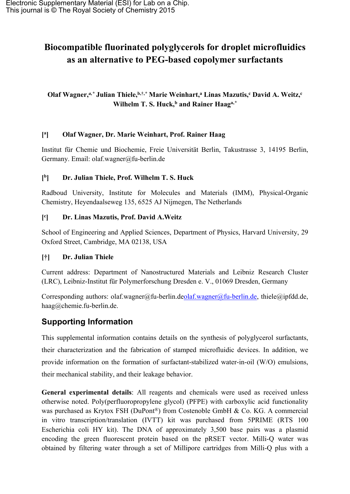# **Biocompatible fluorinated polyglycerols for droplet microfluidics as an alternative to PEG-based copolymer surfactants**

# **Olaf Wagner,***a,\** **Julian Thiele,b,†,***\** **Marie Weinhart,<sup>a</sup> Linas Mazutis,<sup>c</sup> David A. Weitz,<sup>c</sup> Wilhelm T. S. Huck,<sup>b</sup> and Rainer Haaga,***\**

#### **[ a ] Olaf Wagner, Dr. Marie Weinhart, Prof. Rainer Haag**

Institut für Chemie und Biochemie, Freie Universität Berlin, Takustrasse 3, 14195 Berlin, Germany. Email: olaf.wagner@fu-berlin.de

#### **[ b ] Dr. Julian Thiele, Prof. Wilhelm T. S. Huck**

Radboud University, Institute for Molecules and Materials (IMM), Physical-Organic Chemistry, Heyendaalseweg 135, 6525 AJ Nijmegen, The Netherlands

#### **[ c ] Dr. Linas Mazutis, Prof. David A.Weitz**

School of Engineering and Applied Sciences, Department of Physics, Harvard University, 29 Oxford Street, Cambridge, MA 02138, USA

## **[†] Dr. Julian Thiele**

Current address: Department of Nanostructured Materials and Leibniz Research Cluster (LRC), Leibniz-Institut für Polymerforschung Dresden e. V., 01069 Dresden, Germany

Corresponding authors: olaf.wagner@fu-berlin.deolaf.wagner@fu-berlin.de, [thiele@ipfdd.de](mailto:julian.thiele@nano.tu-dresden.de), haag@chemie.fu-berlin.de.

# **Supporting Information**

This supplemental information contains details on the synthesis of polyglycerol surfactants, their characterization and the fabrication of stamped microfluidic devices. In addition, we provide information on the formation of surfactant-stabilized water-in-oil (W/O) emulsions, their mechanical stability, and their leakage behavior.

**General experimental details**: All reagents and chemicals were used as received unless otherwise noted. Poly(perfluoropropylene glycol) (PFPE) with carboxylic acid functionality was purchased as Krytox FSH (DuPont<sup>®</sup>) from Costenoble GmbH & Co. KG. A commercial in vitro transcription/translation (IVTT) kit was purchased from 5PRIME (RTS 100 Escherichia coli HY kit). The DNA of approximately 3,500 base pairs was a plasmid encoding the green fluorescent protein based on the pRSET vector. Milli-Q water was obtained by filtering water through a set of Millipore cartridges from Milli-Q plus with a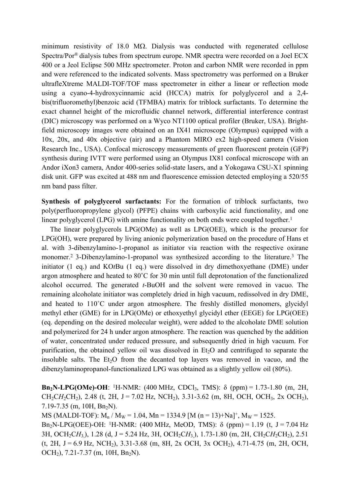minimum resistivity of 18.0 M $\Omega$ . Dialysis was conducted with regenerated cellulose Spectra/Por® dialysis tubes from spectrum europe. NMR spectra were recorded on a Joel ECX 400 or a Jeol Eclipse 500 MHz spectrometer. Proton and carbon NMR were recorded in ppm and were referenced to the indicated solvents. Mass spectrometry was performed on a Bruker ultrafleXtreme MALDI-TOF/TOF mass spectrometer in either a linear or reflection mode using a cyano-4-hydroxycinnamic acid (HCCA) matrix for polyglycerol and a 2,4 bis(trifluoromethyl)benzoic acid (TFMBA) matrix for triblock surfactants. To determine the exact channel height of the microfluidic channel network, differential interference contrast (DIC) microscopy was performed on a Wyco NT1100 optical profiler (Bruker, USA). Brightfield microscopy images were obtained on an IX41 microscope (Olympus) equipped with a 10x, 20x, and 40x objective (air) and a Phantom MIRO ex2 high-speed camera (Vision Research Inc., USA). Confocal microscopy measurements of green fluorescent protein (GFP) synthesis during IVTT were performed using an Olympus IX81 confocal microscope with an Andor iXon3 camera, Andor 400-series solid-state lasers, and a Yokogawa CSU-X1 spinning disk unit. GFP was excited at 488 nm and fluorescence emission detected employing a 520/55 nm band pass filter.

**Synthesis of polyglycerol surfactants:** For the formation of triblock surfactants, two poly(perfluoropropylene glycol) (PFPE) chains with carboxylic acid functionality, and one linear polyglycerol (LPG) with amine functionality on both ends were coupled together.<sup>1</sup>

The linear polyglycerols LPG(OMe) as well as LPG(OEE), which is the precursor for LPG(OH), were prepared by living anionic polymerization based on the procedure of Hans et al. with 3-dibenzylamino-1-propanol as initiator via reaction with the respective oxirane monomer.<sup>2</sup> 3-Dibenzylamino-1-propanol was synthesized according to the literature.<sup>3</sup> The initiator (1 eq.) and KO*t*Bu (1 eq.) were dissolved in dry dimethoxyethane (DME) under argon atmosphere and heated to 80**˚**C for 30 min until full deprotonation of the functionalized alcohol occurred. The generated *t*-BuOH and the solvent were removed in vacuo. The remaining alcoholate initiator was completely dried in high vacuum, redissolved in dry DME, and heated to 110˚C under argon atmosphere. The freshly distilled monomers, glycidyl methyl ether (GME) for in LPG(OMe) or ethoxyethyl glycidyl ether (EEGE) for LPG(OEE) (eq. depending on the desired molecular weight), were added to the alcoholate DME solution and polymerized for 24 h under argon atmosphere. The reaction was quenched by the addition of water, concentrated under reduced pressure, and subsequently dried in high vacuum. For purification, the obtained vellow oil was dissolved in  $Et<sub>2</sub>O$  and centrifuged to separate the insoluble salts. The  $Et<sub>2</sub>O$  from the decanted top layers was removed in vacuo, and the dibenzylaminopropanol-functionalized LPG was obtained as a slightly yellow oil (80%).

**Bn<sub>2</sub>N-LPG(OMe)-OH**: <sup>1</sup>H-NMR: (400 MHz, CDCl<sub>3</sub>, TMS):  $\delta$  (ppm) = 1.73-1.80 (m, 2H, CH<sub>2</sub>CH<sub>2</sub>CH<sub>2</sub>), 2.48 (t, 2H, J = 7.02 Hz, NCH<sub>2</sub>), 3.31-3.62 (m, 8H, OCH, OCH<sub>3</sub>, 2x OCH<sub>2</sub>),  $7.19 - 7.35$  (m, 10H, Bn<sub>2</sub>N).

MS (MALDI-TOF):  $M_n / M_W = 1.04$ ,  $M_n = 1334.9$  [M (n = 13)+Na]<sup>+</sup>,  $M_W = 1525$ . Bn<sub>2</sub>N-LPG(OEE)-OH: <sup>1</sup>H-NMR: (400 MHz, MeOD, TMS): δ (ppm) = 1.19 (t, J = 7.04 Hz 3H, OCH<sub>2</sub>CH<sub>3</sub>), 1.28 (d, J = 5.24 Hz, 3H, OCH<sub>2</sub>CH<sub>3</sub>), 1.73-1.80 (m, 2H, CH<sub>2</sub>CH<sub>2</sub>CH<sub>2</sub>), 2.51  $(t, 2H, J = 6.9 \text{ Hz}, \text{NCH}_2)$ , 3.31-3.68 (m, 8H, 2x OCH, 3x OCH<sub>2</sub>), 4.71-4.75 (m, 2H, OCH, OCH<sub>2</sub>),  $7.21 - 7.37$  (m, 10H, Bn<sub>2</sub>N).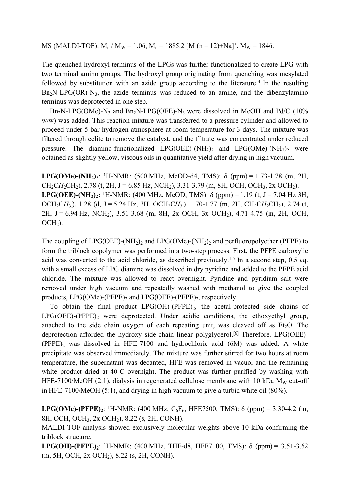MS (MALDI-TOF):  $M_n / M_W = 1.06$ ,  $M_n = 1885.2$  [M (n = 12)+Na]<sup>+</sup>,  $M_W = 1846$ .

The quenched hydroxyl terminus of the LPGs was further functionalized to create LPG with two terminal amino groups. The hydroxyl group originating from quenching was mesylated followed by substitution with an azide group according to the literature.<sup>4</sup> In the resulting  $Bn<sub>2</sub>N-LPG(OR)-N<sub>3</sub>$ , the azide terminus was reduced to an amine, and the dibenzylamino terminus was deprotected in one step.

 $Bn_2N-LPG(OMe)-N_3$  and  $Bn_2N-LPG(OEE)-N_3$  were dissolved in MeOH and Pd/C (10% w/w) was added. This reaction mixture was transferred to a pressure cylinder and allowed to proceed under 5 bar hydrogen atmosphere at room temperature for 3 days. The mixture was filtered through celite to remove the catalyst, and the filtrate was concentrated under reduced pressure. The diamino-functionalized LPG(OEE)-( $NH<sub>2</sub>$ )<sub>2</sub> and LPG( $OMe$ )-( $NH<sub>2</sub>$ )<sub>2</sub> were obtained as slightly yellow, viscous oils in quantitative yield after drying in high vacuum.

**LPG(OMe)-(NH<sub>2</sub>**)<sub>2</sub>: <sup>1</sup>H-NMR: (500 MHz, MeOD-d4, TMS):  $\delta$  (ppm) = 1.73-1.78 (m, 2H,  $CH_2CH_2CH_2$ ), 2.78 (t, 2H, J = 6.85 Hz, NCH<sub>2</sub>), 3.31-3.79 (m, 8H, OCH, OCH<sub>3</sub>, 2x OCH<sub>2</sub>). **LPG(OEE)-(NH<sub>2</sub>)<sub>2</sub>**: <sup>1</sup>H-NMR: (400 MHz, MeOD, TMS):  $\delta$  (ppm) = 1.19 (t, J = 7.04 Hz 3H, OCH<sub>2</sub>CH<sub>3</sub>), 1.28 (d, J = 5.24 Hz, 3H, OCH<sub>2</sub>CH<sub>3</sub>), 1.70-1.77 (m, 2H, CH<sub>2</sub>CH<sub>2</sub>CH<sub>2</sub>), 2.74 (t, 2H, J = 6.94 Hz, NCH<sub>2</sub>), 3.51-3.68 (m, 8H, 2x OCH, 3x OCH<sub>2</sub>), 4.71-4.75 (m, 2H, OCH,  $OCH<sub>2</sub>$ ).

The coupling of  $LPG(OEE)$ -(NH<sub>2</sub>)<sub>2</sub> and  $LPG(OMe)$ -(NH<sub>2</sub>)<sub>2</sub> and perfluoropolyether (PFPE) to form the triblock copolymer was performed in a two-step process. First, the PFPE carboxylic acid was converted to the acid chloride, as described previously.<sup>1,5</sup> In a second step,  $0.5$  eq. with a small excess of LPG diamine was dissolved in dry pyridine and added to the PFPE acid chloride. The mixture was allowed to react overnight. Pyridine and pyridium salt were removed under high vacuum and repeatedly washed with methanol to give the coupled products,  $LPG(OMe)$ -(PFPE)<sub>2</sub> and  $LPG(OEE)$ -(PFPE)<sub>2</sub>, respectively.

To obtain the final product  $LPG(OH)$ -(PFPE)<sub>2</sub>, the acetal-protected side chains of  $LPG(OEE)$ -(PFPE)<sub>2</sub> were deprotected. Under acidic conditions, the ethoxyethyl group, attached to the side chain oxygen of each repeating unit, was cleaved off as  $Et<sub>2</sub>O$ . The deprotection afforded the hydroxy side-chain linear polyglycerol.[6] Therefore, LPG(OEE)-  $(PFPE)$ <sub>2</sub> was dissolved in HFE-7100 and hydrochloric acid  $(6M)$  was added. A white precipitate was observed immediately. The mixture was further stirred for two hours at room temperature, the supernatant was decanted, HFE was removed in vacuo, and the remaining white product dried at 40°C overnight. The product was further purified by washing with HFE-7100/MeOH (2:1), dialysis in regenerated cellulose membrane with 10 kDa  $M_W$  cut-off in HFE-7100/MeOH (5:1), and drying in high vacuum to give a turbid white oil (80%).

**LPG(OMe)-(PFPE)<sub>2</sub>**: <sup>1</sup>H-NMR: (400 MHz,  $C_6F_6$ , HFE7500, TMS):  $\delta$  (ppm) = 3.30-4.2 (m, 8H, OCH, OCH3, 2x OCH2), 8.22 (s, 2H, CONH).

MALDI-TOF analysis showed exclusively molecular weights above 10 kDa confirming the triblock structure.

**LPG(OH)-(PFPE)2**: <sup>1</sup>H-NMR: (400 MHz, THF-d8, HFE7100, TMS): δ (ppm) = 3.51-3.62 (m, 5H, OCH, 2x OCH2), 8.22 (s, 2H, CONH).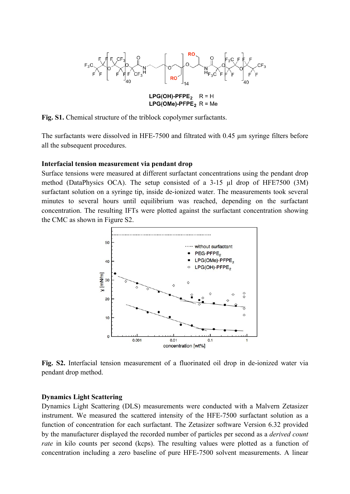

 $LPG(OME) - PFPE_2 R = Me$ 

**Fig. S1.** Chemical structure of the triblock copolymer surfactants.

The surfactants were dissolved in HFE-7500 and filtrated with 0.45 µm syringe filters before all the subsequent procedures.

### **Interfacial tension measurement via pendant drop**

Surface tensions were measured at different surfactant concentrations using the pendant drop method (DataPhysics OCA). The setup consisted of a 3-15 µl drop of HFE7500 (3M) surfactant solution on a syringe tip, inside de-ionized water. The measurements took several minutes to several hours until equilibrium was reached, depending on the surfactant concentration. The resulting IFTs were plotted against the surfactant concentration showing the CMC as shown in Figure S2.



**Fig. S2.** Interfacial tension measurement of a fluorinated oil drop in de-ionized water via pendant drop method.

### **Dynamics Light Scattering**

Dynamics Light Scattering (DLS) measurements were conducted with a Malvern Zetasizer instrument. We measured the scattered intensity of the HFE-7500 surfactant solution as a function of concentration for each surfactant. The Zetasizer software Version 6.32 provided by the manufacturer displayed the recorded number of particles per second as a *derived count rate* in kilo counts per second (kcps). The resulting values were plotted as a function of concentration including a zero baseline of pure HFE-7500 solvent measurements. A linear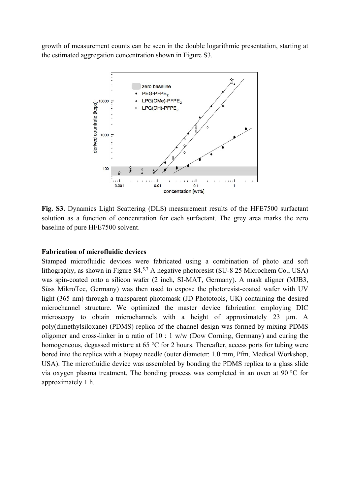growth of measurement counts can be seen in the double logarithmic presentation, starting at the estimated aggregation concentration shown in Figure S3.



**Fig. S3.** Dynamics Light Scattering (DLS) measurement results of the HFE7500 surfactant solution as a function of concentration for each surfactant. The grey area marks the zero baseline of pure HFE7500 solvent.

### **Fabrication of microfluidic devices**

Stamped microfluidic devices were fabricated using a combination of photo and soft lithography, as shown in Figure S4.5,7 A negative photoresist (SU-8 25 Microchem Co., USA) was spin-coated onto a silicon wafer (2 inch, SI-MAT, Germany). A mask aligner (MJB3, Süss MikroTec, Germany) was then used to expose the photoresist-coated wafer with UV light (365 nm) through a transparent photomask (JD Phototools, UK) containing the desired microchannel structure. We optimized the master device fabrication employing DIC microscopy to obtain microchannels with a height of approximately 23 μm. A poly(dimethylsiloxane) (PDMS) replica of the channel design was formed by mixing PDMS oligomer and cross-linker in a ratio of 10 : 1 w/w (Dow Corning, Germany) and curing the homogeneous, degassed mixture at 65 °C for 2 hours. Thereafter, access ports for tubing were bored into the replica with a biopsy needle (outer diameter: 1.0 mm, Pfm, Medical Workshop, USA). The microfluidic device was assembled by bonding the PDMS replica to a glass slide via oxygen plasma treatment. The bonding process was completed in an oven at 90 °C for approximately 1 h.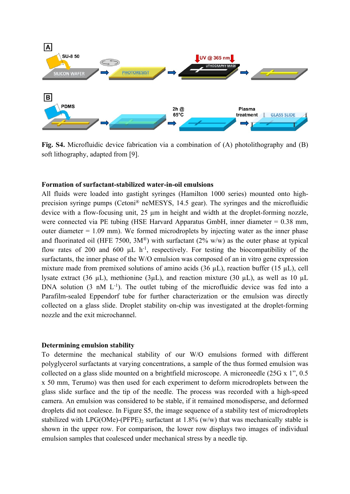

**Fig. S4.** Microfluidic device fabrication via a combination of (A) photolithography and (B) soft lithography, adapted from [9].

#### **Formation of surfactant-stabilized water-in-oil emulsions**

All fluids were loaded into gastight syringes (Hamilton 1000 series) mounted onto highprecision syringe pumps (Cetoni® neMESYS, 14.5 gear). The syringes and the microfluidic device with a flow-focusing unit, 25  $\mu$ m in height and width at the droplet-forming nozzle, were connected via PE tubing (HSE Harvard Apparatus GmbH, inner diameter = 0.38 mm, outer diameter = 1.09 mm). We formed microdroplets by injecting water as the inner phase and fluorinated oil (HFE 7500,  $3M^{\circledR}$ ) with surfactant (2% w/w) as the outer phase at typical flow rates of 200 and 600  $\mu$ L h<sup>-1</sup>, respectively. For testing the biocompatibility of the surfactants, the inner phase of the W/O emulsion was composed of an in vitro gene expression mixture made from premixed solutions of amino acids (36  $\mu$ L), reaction buffer (15  $\mu$ L), cell lysate extract (36  $\mu$ L), methionine (3 $\mu$ L), and reaction mixture (30  $\mu$ L), as well as 10  $\mu$ L DNA solution (3 nM L<sup>-1</sup>). The outlet tubing of the microfluidic device was fed into a Parafilm-sealed Eppendorf tube for further characterization or the emulsion was directly collected on a glass slide. Droplet stability on-chip was investigated at the droplet-forming nozzle and the exit microchannel.

#### **Determining emulsion stability**

To determine the mechanical stability of our W/O emulsions formed with different polyglycerol surfactants at varying concentrations, a sample of the thus formed emulsion was collected on a glass slide mounted on a brightfield microscope. A microneedle (25G x 1", 0.5 x 50 mm, Terumo) was then used for each experiment to deform microdroplets between the glass slide surface and the tip of the needle. The process was recorded with a high-speed camera. An emulsion was considered to be stable, if it remained monodisperse, and deformed droplets did not coalesce. In Figure S5, the image sequence of a stability test of microdroplets stabilized with  $LPG(OMe)$ -(PFPE)<sub>2</sub> surfactant at 1.8% (w/w) that was mechanically stable is shown in the upper row. For comparison, the lower row displays two images of individual emulsion samples that coalesced under mechanical stress by a needle tip.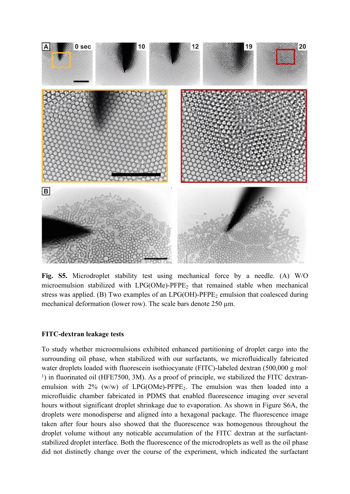

**Fig. S5.** Microdroplet stability test using mechanical force by a needle. (A) W/O microemulsion stabilized with  $LPG(OMe)$ -PFPE<sub>2</sub> that remained stable when mechanical stress was applied. (B) Two examples of an  $LPG(OH)$ -PFPE<sub>2</sub> emulsion that coalesced during mechanical deformation (lower row). The scale bars denote  $250 \mu m$ .

#### **FITC-dextran leakage tests**

To study whether microemulsions exhibited enhanced partitioning of droplet cargo into the surrounding oil phase, when stabilized with our surfactants, we microfluidically fabricated water droplets loaded with fluorescein isothiocyanate (FITC)-labeled dextran (500,000 g mol-<sup>1</sup>) in fluorinated oil (HFE7500, 3M). As a proof of principle, we stabilized the FITC dextranemulsion with  $2\%$  (w/w) of LPG(OMe)-PFPE<sub>2</sub>. The emulsion was then loaded into a microfluidic chamber fabricated in PDMS that enabled fluorescence imaging over several hours without significant droplet shrinkage due to evaporation. As shown in Figure S6A, the droplets were monodisperse and aligned into a hexagonal package. The fluorescence image taken after four hours also showed that the fluorescence was homogenous throughout the droplet volume without any noticable accumulation of the FITC dextran at the surfactantstabilized droplet interface. Both the fluorescence of the microdroplets as well as the oil phase did not distinctly change over the course of the experiment, which indicated the surfactant